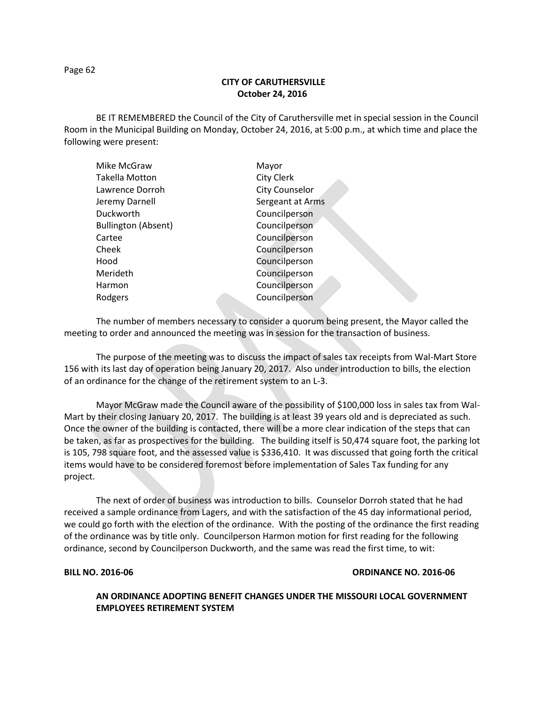### Page 62

# **CITY OF CARUTHERSVILLE October 24, 2016**

BE IT REMEMBERED the Council of the City of Caruthersville met in special session in the Council Room in the Municipal Building on Monday, October 24, 2016, at 5:00 p.m., at which time and place the following were present:

| Mike McGraw                | Mayor                 |
|----------------------------|-----------------------|
| Takella Motton             | City Clerk            |
| Lawrence Dorroh            | <b>City Counselor</b> |
| Jeremy Darnell             | Sergeant at Arms      |
| Duckworth                  | Councilperson         |
| <b>Bullington (Absent)</b> | Councilperson         |
| Cartee                     | Councilperson         |
| Cheek                      | Councilperson         |
| Hood                       | Councilperson         |
| Merideth                   | Councilperson         |
| Harmon                     | Councilperson         |
| Rodgers                    | Councilperson         |
|                            |                       |

The number of members necessary to consider a quorum being present, the Mayor called the meeting to order and announced the meeting was in session for the transaction of business.

The purpose of the meeting was to discuss the impact of sales tax receipts from Wal-Mart Store 156 with its last day of operation being January 20, 2017. Also under introduction to bills, the election of an ordinance for the change of the retirement system to an L-3.

Mayor McGraw made the Council aware of the possibility of \$100,000 loss in sales tax from Wal-Mart by their closing January 20, 2017. The building is at least 39 years old and is depreciated as such. Once the owner of the building is contacted, there will be a more clear indication of the steps that can be taken, as far as prospectives for the building. The building itself is 50,474 square foot, the parking lot is 105, 798 square foot, and the assessed value is \$336,410. It was discussed that going forth the critical items would have to be considered foremost before implementation of Sales Tax funding for any project.

The next of order of business was introduction to bills. Counselor Dorroh stated that he had received a sample ordinance from Lagers, and with the satisfaction of the 45 day informational period, we could go forth with the election of the ordinance. With the posting of the ordinance the first reading of the ordinance was by title only. Councilperson Harmon motion for first reading for the following ordinance, second by Councilperson Duckworth, and the same was read the first time, to wit:

### **BILL NO. 2016-06 ORDINANCE NO. 2016-06**

## **AN ORDINANCE ADOPTING BENEFIT CHANGES UNDER THE MISSOURI LOCAL GOVERNMENT EMPLOYEES RETIREMENT SYSTEM**